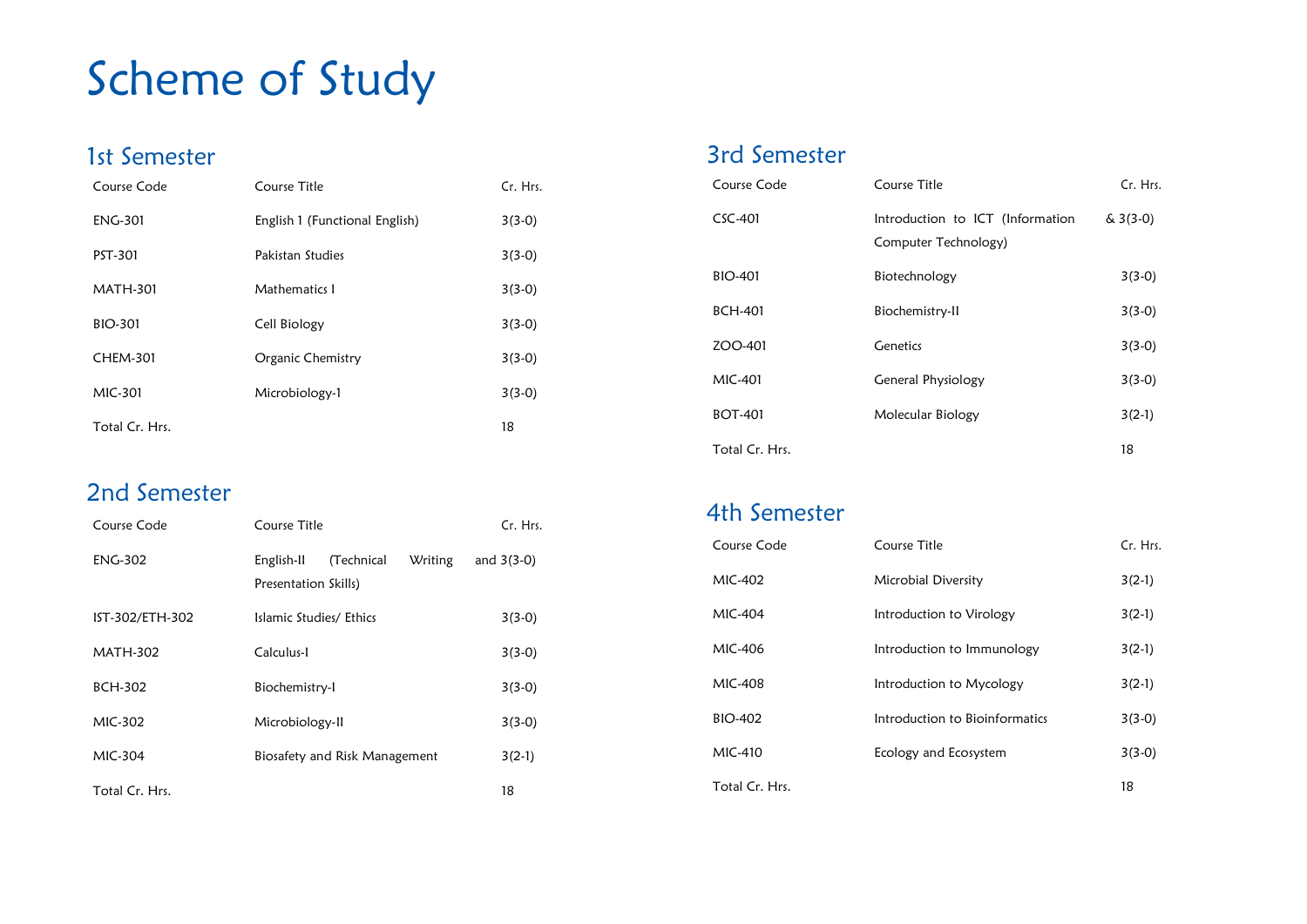## Scheme of Study

#### 1st Semester

| Course Code     | Course Title                   | Cr. Hrs. |
|-----------------|--------------------------------|----------|
| <b>ENG-301</b>  | English 1 (Functional English) | $3(3-0)$ |
| PST-301         | Pakistan Studies               | $3(3-0)$ |
| <b>MATH-301</b> | Mathematics I                  | $3(3-0)$ |
| <b>BIO-301</b>  | Cell Biology                   | $3(3-0)$ |
| <b>CHEM-301</b> | Organic Chemistry              | $3(3-0)$ |
| MIC-301         | Microbiology-1                 | $3(3-0)$ |
| Total Cr. Hrs.  |                                | 18       |

#### 2nd Semester

| Course Code     | Course Title                                                | Cr. Hrs.     |
|-----------------|-------------------------------------------------------------|--------------|
| <b>ENG-302</b>  | (Technical<br>English-II<br>Writing<br>Presentation Skills) | and $3(3-0)$ |
| IST-302/ETH-302 | Islamic Studies/ Ethics                                     | $3(3-0)$     |
| MATH-302        | Calculus-l                                                  | $3(3-0)$     |
| <b>BCH-302</b>  | Biochemistry-I                                              | $3(3-0)$     |
| MIC-302         | Microbiology-II                                             | $3(3-0)$     |
| MIC-304         | Biosafety and Risk Management                               | $3(2-1)$     |
| Total Cr. Hrs.  |                                                             | 18           |

#### 3rd Semester

| Course Code    | Course Title                                             | Cr. Hrs.   |
|----------------|----------------------------------------------------------|------------|
| CSC-401        | Introduction to ICT (Information<br>Computer Technology) | $& 3(3-0)$ |
| BIO-401        | Biotechnology                                            | $3(3-0)$   |
| BCH-401        | Biochemistry-II                                          | $3(3-0)$   |
| ZOO-401        | Genetics                                                 | $3(3-0)$   |
| MIC-401        | General Physiology                                       | $3(3-0)$   |
| BOT-401        | Molecular Biology                                        | $3(2-1)$   |
| Total Cr. Hrs. |                                                          | 18         |

#### 4th Semester

| Course Code    | Course Title                   | Cr. Hrs. |
|----------------|--------------------------------|----------|
| MIC-402        | Microbial Diversity            | $3(2-1)$ |
| MIC-404        | Introduction to Virology       | $3(2-1)$ |
| MIC-406        | Introduction to Immunology     | $3(2-1)$ |
| MIC-408        | Introduction to Mycology       | $3(2-1)$ |
| BIO-402        | Introduction to Bioinformatics | $3(3-0)$ |
| MIC-410        | Ecology and Ecosystem          | $3(3-0)$ |
| Total Cr. Hrs. |                                | 18       |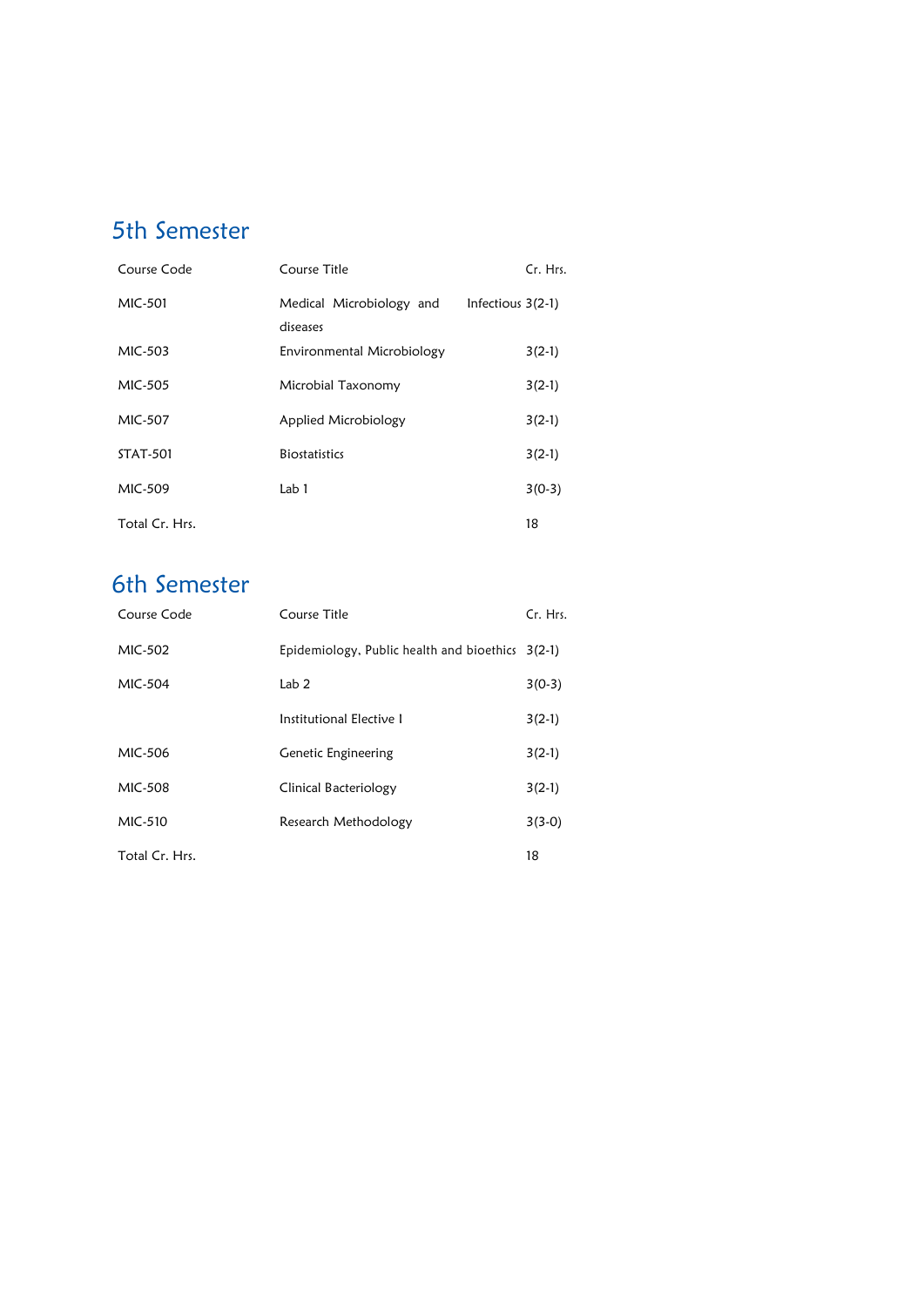## 5th Semester

| Course Code     | Course Title                         | Cr. Hrs.          |
|-----------------|--------------------------------------|-------------------|
| MIC-501         | Medical Microbiology and<br>diseases | Infectious 3(2-1) |
| MIC-503         | Environmental Microbiology           | $3(2-1)$          |
| MIC-505         | Microbial Taxonomy                   | $3(2-1)$          |
| MIC-507         | Applied Microbiology                 | $3(2-1)$          |
| <b>STAT-501</b> | <b>Biostatistics</b>                 | $3(2-1)$          |
| MIC-509         | Lab 1                                | $3(0-3)$          |
| Total Cr. Hrs.  |                                      | 18                |

## 6th Semester

| Course Code    | Course Title                                     | Cr. Hrs. |
|----------------|--------------------------------------------------|----------|
| MIC-502        | Epidemiology, Public health and bioethics 3(2-1) |          |
| MIC-504        | Lab <sub>2</sub>                                 | $3(0-3)$ |
|                | Institutional Elective 1                         | $3(2-1)$ |
| MIC-506        | <b>Genetic Engineering</b>                       | $3(2-1)$ |
| MIC-508        | Clinical Bacteriology                            | $3(2-1)$ |
| MIC-510        | Research Methodology                             | $3(3-0)$ |
| Total Cr. Hrs. |                                                  | 18       |